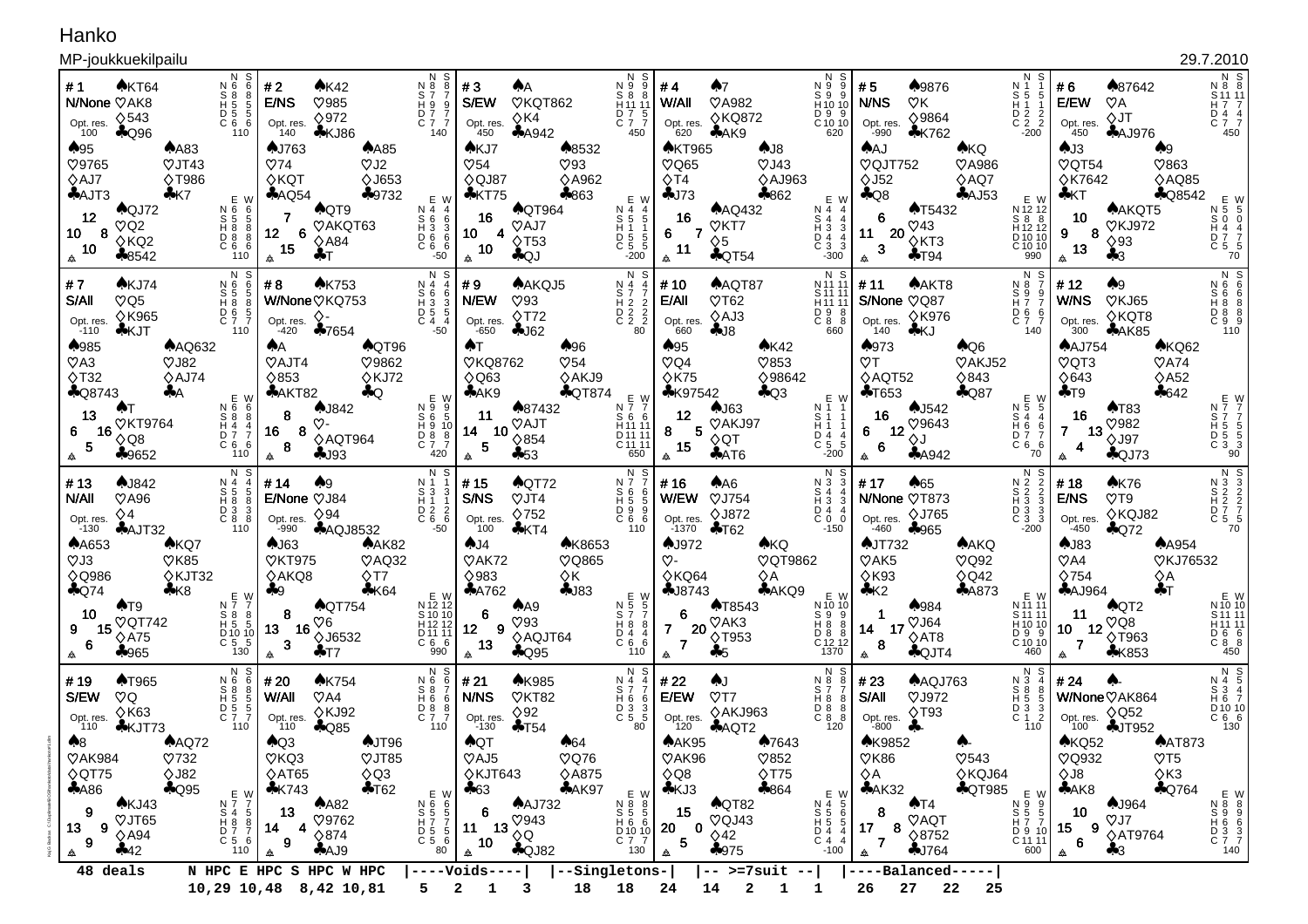## Hanko

## MP-joukkuekilpailu

|                                                                                    | MP-joukkuekilpailu                                                                                                        |                                                                                                                                                                      |                                                                                     |                                                                                                                            |                                                                                                                 |                                                                                   |                                                                                                                 |                                                                                               |                                                                                                         |                                                                                                                  |                                                                                                                                  |                                                                                                                                                                             |                                                           |                                                                                                         |                                                                                                       |                                                                                                             | 29.7.2010                                                                        |
|------------------------------------------------------------------------------------|---------------------------------------------------------------------------------------------------------------------------|----------------------------------------------------------------------------------------------------------------------------------------------------------------------|-------------------------------------------------------------------------------------|----------------------------------------------------------------------------------------------------------------------------|-----------------------------------------------------------------------------------------------------------------|-----------------------------------------------------------------------------------|-----------------------------------------------------------------------------------------------------------------|-----------------------------------------------------------------------------------------------|---------------------------------------------------------------------------------------------------------|------------------------------------------------------------------------------------------------------------------|----------------------------------------------------------------------------------------------------------------------------------|-----------------------------------------------------------------------------------------------------------------------------------------------------------------------------|-----------------------------------------------------------|---------------------------------------------------------------------------------------------------------|-------------------------------------------------------------------------------------------------------|-------------------------------------------------------------------------------------------------------------|----------------------------------------------------------------------------------|
| #1<br>Opt. res.<br>$100$<br>$\clubsuit 95$<br><b>V9765</b><br>$\diamond$ AJ7       | AKT64<br>N/None VAK8<br>$\diamond$ 543<br>$A$ Q96<br>$A$ A83<br>$\heartsuit$ JT43<br><b>◇T986</b>                         | N S<br>N 6<br>- 6<br>$\overline{S}$ $\overline{8}$<br>-8<br>$\overline{H}$ $\overline{5}$<br>-5<br>$\begin{array}{ccc}\n11 & 5 & 5 \\ 0 & 6 & 6\n\end{array}$<br>110 | #2<br>E/NS<br>Opt. res.<br>140<br><b>AJ763</b><br>$\heartsuit$ 74<br>$\Diamond$ KQT | ♠K42<br>$\heartsuit$ 985<br>$\Diamond$ 972<br>$*KJ86$<br>$A$ A85<br>$\heartsuit$ J2<br><b>◇J653</b>                        | -S<br>N 8<br>8<br>S 7<br>H 9 9<br>D 7 7<br>C 7 7<br>140                                                         | #3<br>S/EW<br>Opt. res.<br>450<br>AKJ7<br>$\heartsuit$ 54<br>♦QJ87                | ٨Α<br>VKQT862<br>$\Diamond$ K4<br>A4942<br>♠8532<br>$\heartsuit$ 93<br><b>◇A962</b>                             | N 9.<br>S8<br>H <sub>11</sub> 1<br>D 7<br>$\overline{C}$ 7 7<br>450                           | #4<br>W/All<br>Opt. res.<br>$620$<br><b>AKT965</b><br>$\heartsuit$ Q65<br>$\Diamond$ T4                 | ♠7<br><b>VA982</b><br><b>◇KQ872</b><br>$A$ AK9<br>AJ8<br>$\heartsuit$ J43<br>$\diamond$ AJ963                    | N<br>S<br>9<br>$\begin{smallmatrix} N & 9 \\ S & 9 \end{smallmatrix}$<br>H 10 10<br>D 9 9<br>C 10 10<br>620                      | #5<br>♠9876<br>N/NS<br>$\heartsuit$ K<br>♦9864<br>Opt. res.<br>-990<br><b>*K762</b><br><b>AAJ</b><br>VQJT752<br>$\Diamond$ J52                                              | <b>AKQ</b><br>VA986<br>$\diamond$ AQ7                     | N S<br>N 1<br>$S1$ 5<br>$\begin{array}{ccc} 0 & 2 & 2 \\ 0 & 2 & 2 \\ -200 & & \end{array}$             | #6<br>E/EW<br>Opt. res.<br>450<br>AJ3<br>$\sqrt{Q}$ T54<br><b>◇K7642</b>                              | ♠87642<br>$\heartsuit$ A<br>$\Diamond$ JT<br><b>AAJ976</b><br>$\clubsuit 9$<br>$\heartsuit$ 863<br>♦AQ85    | N S<br>N 8 8<br>S 11 11<br>H 7 7<br>D 4 4<br>C 7 7<br>450                        |
| $A$ AJT3<br>12<br>10<br>10<br>佥                                                    | $*K7$<br>$A$ QJ72<br>$\heartsuit$ Q2<br>8<br>$\diamond$ KQ2<br>$*8542$                                                    | E W<br>110                                                                                                                                                           | AQQ54<br>12 <sub>2</sub><br>6<br>15<br>会                                            | $-9732$<br>AQT9<br>VAKQT63<br>$\diamond$ A84<br>♣⊤                                                                         | E W<br>S 4 4 4<br>S 6 3 3 6<br>D 6 6 6<br>C 6 6 6 6 6 9 10<br>-50                                               | $*$ KT75<br>16<br>10<br>4<br>10<br>会                                              | $*863$<br><b>AQT964</b><br>VAJ7<br>$\lozenge$ T53<br>AQJ                                                        | E W<br>N 4 4<br>S 5 5<br>H 5 5 5<br>D 5 5 5<br>C 5 5<br>$-200$                                | $-173$<br>16<br>6<br>7<br>11<br>₳                                                                       | $*862$<br>$A\text{AQ}432$<br>VKT7<br>$\diamond$ 5<br>$\clubsuit$ QT54                                            | E W<br>N 4 4<br>S 4 4<br>$\begin{array}{c} 4 & 3 \\ 1 & 3 \\ 2 & 4 \\ 3 & 3 \\ -300 \end{array}$                                 | $\clubsuit$ Q8<br><b>AT5432</b><br>6<br>$\heartsuit$ 43<br>11 20<br>$\Diamond$ KT3<br>3<br>$+T94$<br>                                                                       | $A$ AJ53                                                  | E W<br>N 12 12<br>$888$<br>$H1212$<br>$D1010$<br>$C1010$<br>$990$                                       | ♣КТ<br>10<br>9<br>8<br>13<br>▲                                                                        | <b>AQ8542</b><br>AAKQT5<br><b>VKJ972</b><br>$\diamond$ 93<br>$\clubsuit 3$                                  | E W<br>N 5 5<br>S 0 4 4<br>D 7 5<br>C 5 - 3<br>70                                |
| #7<br>S/All<br>Opt. res.<br>$-110$                                                 | AKJ74<br>$\heartsuit$ Q5<br><b>◇K965</b><br>$*$ KJT                                                                       | N S<br>$\begin{array}{c} 0.8 \\ 0.8 \\ 0.8 \\ 0.8 \end{array}$<br>6<br>5<br>8<br>D 6 5<br>C 7 7<br>110                                                               | #8<br>Opt. res.<br>-420                                                             | <b>AK753</b><br>W/None VKQ753<br>♦-<br>$*7654$                                                                             | N S<br>Ņ4<br>$5633$<br>$D555$<br>$C4.4$<br>-50                                                                  | #9<br>N/EW<br>Opt. res.<br>$-650$                                                 | AAKQJ5<br>$\heartsuit$ 93<br>$\Diamond$ T72<br>$-162$                                                           | N S<br>N 4 7<br>S H 2 2<br>D 2 2<br>D 2 2<br>C 2 2                                            | # 10<br>E/All<br>Opt. res.<br>660                                                                       | AAQT87<br>$\heartsuit$ T62<br>$\diamond$ AJ3<br>$-18$                                                            | N S<br>N 11 11<br>S 11 11<br>H <sub>11</sub> 11<br>D 9 8<br>C 8 8<br>660                                                         | AAKT8<br># 11<br>S/None VQ87<br><b>◇K976</b><br>Opt. res.<br>140<br>♣КЈ                                                                                                     |                                                           | N S<br>$\begin{array}{c}\nN & 8 \\ S & 9 \\ H & 7\n\end{array}$<br>D 6 6<br>C 7 7<br>140                | #12<br>W/NS<br>Opt. res.<br>300                                                                       | A9<br>VKJ65<br>$\diamond$ KQT8<br>AAK85                                                                     |                                                                                  |
| ♠985<br>$\heartsuit$ A3<br>$\Diamond$ T32<br>13<br>6<br>5<br>₳                     | <b>AAQ632</b><br>$\heartsuit$ J82<br>$\diamond$ AJ74<br>$\clubsuit$ Q8743<br>÷А<br><b>VKT9764</b><br>16<br>♦Q8<br>$*9652$ | E W<br>N 6 6<br>$\begin{array}{c} 88 \\ H4 \end{array}$<br>8<br>D 7<br>C <sub>6</sub><br>-6<br>110                                                                   | ♠Α<br>VAJT4<br>$\Diamond$ 853<br>AAKT82<br>8<br>8<br>16<br>8<br>₳                   | <b>AQT96</b><br>V9862<br>$\Diamond$ KJ72<br>$\clubsuit$ Q<br><b>AJ842</b><br>$\heartsuit$ -<br>$\diamond$ AQT964<br>$-193$ | E W<br>NS<br>DD<br>C<br>C<br>7<br>9<br>$\frac{5}{10}$<br>$\frac{8}{7}$<br>420                                   | <b>AT</b><br><b>VKQ8762</b><br>$\Diamond$ Q63<br>AAK9<br>11<br>14<br>10<br>5<br>₳ | $\clubsuit 96$<br>$\heartsuit$ 54<br>♦AKJ9<br><b>AQT874</b><br>▲87432<br><b>VAJT</b><br>$\diamond$ 854<br>$+53$ | E W<br>$N \overline{7}$ $\overline{7}$<br>S 6<br>H <sub>11</sub> 1<br>D 11 1<br>C 11 1<br>650 | $\clubsuit 95$<br>$\heartsuit$ Q4<br>$\Diamond$ K75<br><b>*K97542</b><br>12<br>5<br>8<br>15<br>₳        | A K42<br>$\heartsuit$ 853<br>♦98642<br>$A$ Q3<br>$A$ J63<br>VAKJ97<br>$\diamond$ QT<br>AAT6                      | E W<br>N 1 1<br>S 1 1<br>H 1 1<br>$\begin{array}{c} 11 \ 0 \ 4 \ \hline 1 \ 5 \ -200 \end{array}$                                | ♠973<br>$\heartsuit$ T<br>$\diamond$ AQT52<br>$+T653$<br>$A$ J542<br>16<br>♡9643<br>12 $\stackrel{\textstyle\scriptstyle\downarrow}{\Diamond}$ J<br>6<br>6<br>$A$ 4942<br>₳ | $A$ Q6<br>VAKJ52<br>$\diamond$ 843<br>$A$ Q87             | E<br>W<br>Ņ 5<br>-5<br>$\begin{array}{c} 84 \\ H6 \end{array}$<br>6<br>D 7<br>C <sub>6</sub><br>6<br>70 | <b>AAJ754</b><br>$\heartsuit$ QT3<br>$\Diamond$ 643<br>$+T9$<br>16<br>$\overline{7}$<br>-13<br>4<br>₳ | AKQ62<br>$\heartsuit$ A74<br>$\diamond$ A52<br>\$642<br>AT83<br>$\heartsuit$ 982<br><b>◇J97</b><br>$A$ QJ73 | E W<br>N 7 7<br>S 7 5 5 5<br>H 5 5 5 3<br>O 90<br>O                              |
| #13<br>N/All<br>Opt. res.<br>$-130$                                                | <b>AJ842</b><br>$\heartsuit$ A96<br>$\diamond$ 4<br>$A$ AJT32                                                             | N S<br>N 4<br>$5\frac{5}{10}$<br>D 3<br>$C_8$<br>110                                                                                                                 | # 14<br>E/None VJ84<br>Opt. res.<br>-990                                            | ♠9<br>$\diamond$ 94<br><b>AAQJ8532</b>                                                                                     | N S<br>N 1<br>S 3<br>H 1<br>D 2<br>C 6<br>-3<br>6                                                               | #15<br>S/NS<br>Opt. res.<br>100                                                   | $\bigwedge$ QT72<br>$\heartsuit$ JT4<br>$\Diamond$ 752<br>$4$ KT4                                               | N<br>N 7<br>S<br>0<br>D<br>9<br>C <sub>6</sub><br>- 6<br>110                                  | #16<br>W/EW<br>Opt. res.<br>-1370                                                                       | AA6<br><b>VJ754</b><br><b>◇J872</b><br>$+$ T62                                                                   | $\overline{N}$ $\overline{3}$<br>S<br>$\begin{array}{c} 84 \\ H3 \\ D4 \end{array}$<br>3<br>$\bar{C}$ 0<br>$\mathbf 0$<br>$-150$ | # 17<br>A65<br>N/None VT873<br><b>◇J765</b><br>Opt. res.<br>-460<br>$*965$                                                                                                  |                                                           | N S<br>$\begin{array}{c} N & 2 \\ S & 2 \\ H & 3 \\ D & 3 \\ C & 3 \\ -200 \end{array}$                 | #18<br>E/NS<br>Opt. res.<br>-450                                                                      | A K76<br>$\heartsuit$ T9<br>♦KQJ82<br>$A$ Q72                                                               |                                                                                  |
| <b>AA653</b><br>$\heartsuit$ J3<br>$\Diamond$ Q986<br>$A$ Q74<br>10<br>9<br>6<br>佥 | AKQ7<br>$\sqrt{85}$<br>◇KJT32<br>$*K8$<br>$\triangle$ T9<br><b>VQT742</b><br>15<br>$\diamond$ A75<br>$*965$               | N 7 7<br>S 8 8<br>H 5 5<br>$\begin{bmatrix} 0 & 10 & 10 \\ C & 5 & 5 \end{bmatrix}$<br>130                                                                           | $A$ J63<br>VKT975<br>$\diamond$ AKQ8<br>$+9$<br>8<br>13<br>16<br>3<br>佥             | $A$ AK82<br>$\heartsuit$ AQ32<br>$\Diamond$ T7<br>$4$ K64<br><b>AQT754</b><br>$\heartsuit6$<br><b>◇J6532</b><br>♣⊤7        | E W<br>$N$ 12 12<br>S 10 10<br>H <sub>12</sub><br>D <sub>11</sub><br>D <sub>11</sub><br>C <sub>6</sub> 6<br>990 | A J4<br>$\mathcal{O}$ AK72<br>♦983<br>A762<br>6<br>9<br>12<br>13<br>₳             | <b>AK8653</b><br>VQ865<br>♦K<br>$-183$<br>AA9<br>$\heartsuit$ 93<br>◇AQJT64<br>$A$ Q95                          | 110                                                                                           | <b>AJ972</b><br>$\heartsuit$ -<br>◇KQ64<br>$-18743$<br>6<br>$\overline{7}$<br>20<br>$\overline{7}$<br>₳ | <b>AKQ</b><br><b>VQT9862</b><br>$\diamond$ A<br>AAKQ9<br><b>AT8543</b><br>$\heartsuit$ AK3<br><b>◇T953</b><br>♣5 | E W<br>N 10 10<br>S 9 8 8<br>D 8 8 8<br>C 12 12<br>1370<br>1370                                                                  | <b>AJT732</b><br>$\mathcal{O}$ AK5<br>$\Diamond$ K93<br>K2<br>$*984$<br>$\heartsuit$ J64<br>17<br>14<br>$\diamond$ AT8<br>8<br>$\bigcirc$ QJT4<br>佥                         | <b>AAKQ</b><br>$\heartsuit$ Q92<br>$\Diamond$ Q42<br>A873 | E W<br>N 11 11<br>S 11 11<br>H 10 10<br>D 9 9<br>C 10 10<br>460                                         | $A$ J83<br>$\heartsuit$ A4<br>$\Diamond$ 754<br>$A$ AJ964<br>11<br>10<br>-12<br>$\overline{7}$<br>△   | <b>AA954</b><br>♦Q<br>$+T$<br>$\bigwedge$ QT2<br>$\heartsuit$ Q8<br><b>◇T963</b><br>$*K853$                 | <b>VKJ76532</b><br>E W<br>N 10 10<br>S 11 11<br>H 11 11<br>D 6 6<br>C 8 8<br>450 |
| # 19<br>S/EW<br>Opt. res.<br>110<br>A8<br><b>VAK984</b><br>$\Diamond$ QT75         | <b>AT965</b><br>$\heartsuit Q$<br>$\Diamond$ K63<br>$\clubsuit$ KJT73<br>$A$ AQ72<br>$\heartsuit$ 732<br>$\Diamond$ J82   | N<br>N 6<br>S 8<br>H 5<br>-5<br>D 5 5<br>C 7 7<br>110                                                                                                                | # 20<br>W/All<br>Opt. res.<br>110<br>AQ3<br>VKQ3<br>$\diamond$ AT65                 | <b>AK754</b><br>$\heartsuit$ A4<br>◇KJ92<br>$A$ Q85<br><b>AJT96</b><br>$\heartsuit$ JT85<br>$\Diamond$ Q3                  | N S<br>N 6<br>6<br>$58$<br>H 6<br>-6<br>D 8 8<br>110                                                            | #21<br>N/NS<br>Opt. res.<br>-130<br><b>AQT</b><br>VAJ5<br>$\Diamond$ KJT643       | <b>AK985</b><br>VKT82<br>$\Diamond$ 92<br>$+T54$<br>$*64$<br>$\heartsuit$ Q76<br><b>◇A875</b>                   | N<br>$N_5 7$<br>$N_6 7$<br>$\overline{C}$ $\overline{3}$<br>- 5<br>80                         | #22<br>E/EW<br>Opt. res.<br>120<br>$A$ AK95<br>VAK96<br>$\Diamond$ Q8                                   | AJ.<br>$\heartsuit$ T7<br>◇AKJ963<br>AQT2<br>♦7643<br>$\heartsuit$ 852<br>$\Diamond$ T75                         | N<br>S<br>N 8<br>8<br>S 7<br>H 8<br>8<br>D 8 8<br>C 8 8<br>120                                                                   | #23<br>AAQJ763<br>S/All<br>$\heartsuit$ J972<br>$\Diamond$ T93<br>Opt. res.<br>-800<br><b>AK9852</b><br>$\sqrt{0}$ K86<br>$\diamond$ A                                      | $\heartsuit$ 543<br>◇KQJ64                                | N S<br>N 3<br>S 8<br>H 5<br>D 3 3<br>C 1 2<br>110                                                       | #24<br>Opt. res.<br>100<br>AKQ52<br>VQ932<br>$\Diamond$ J8                                            | W/None VAK864<br>$\Diamond$ Q52<br>$+JT952$<br><b>AAT873</b><br>$\heartsuit$ T5<br>$\Diamond$ K3            | N S<br>N 4 5<br>S 3 4<br>H 6 7<br>D 10 10<br>C 6 6<br>130                        |
| A86<br>9<br>13<br>9<br>₳                                                           | $\clubsuit$ Q95<br>AKJ43<br>VJT65<br>9<br>$\diamond$ A94<br>442<br>48 deals                                               | E W<br>N 7 5<br>S 4 8 8 7<br>D 7 5 6<br>C 5 4 6<br>110                                                                                                               | $*K743$<br>13<br>4<br>14<br>9<br>₳                                                  | $+T62$<br>A82<br>♡9762<br>$\Diamond$ 874<br>A49<br>N HPC E HPC S HPC W HPC                                                 | 80                                                                                                              | $+63$<br>6<br>11<br>13<br>10<br>₳<br>$---Volds---$                                | AAK97<br><b>AAJ732</b><br>$\heartsuit$ 943<br>$\diamond$ Q<br><b>AQJ82</b><br>--Singletons-                     | N 8 8<br>S 5 5<br>H 6 6<br>$\begin{bmatrix} 0 & 10 & 10 \\ 0 & 7 & 7 \end{bmatrix}$<br>130    | $A$ KJ3<br>15<br>0<br>20<br>5<br>₳                                                                      | $*864$<br>$\bigwedge$ QT82<br>VQJ43<br>$\diamond$ 42<br>$*975$<br>$--$ >=7suit --                                | E W<br>N 4 5 6<br>S 5 6 5<br>D 4 4 4<br>C 4 4 4<br>$-100$                                                                        | $A$ AK32<br>$\triangle$ T4<br>8<br>VAQT<br>$17\,$<br>8<br>$\Diamond$ 8752<br>$\overline{7}$<br>$-1764$<br>₳<br>----Balanced-----                                            | <b>AQT985</b>                                             | N 9 9<br>S 5 5<br>H 7 7<br>H 2 10<br>D 9 10<br>C 11 11<br>600                                           | A K8<br>10<br>9<br>15<br>$6\phantom{a}$<br>$\Delta$                                                   | <b>AQ764</b><br>$\clubsuit$ J964<br>$\heartsuit$ J7<br><b>◇AT9764</b><br>$\clubsuit 3$                      | E W<br>N 8 8 9<br>S 9 6 6 3 3<br>D 3 3 7<br>C 7 140                              |
|                                                                                    | 18<br>10,29 10,48 8,42 10,81<br>2<br>18<br>24<br>14<br>$\mathbf{2}$<br>26<br>27<br>22<br>25<br>5                          |                                                                                                                                                                      |                                                                                     |                                                                                                                            |                                                                                                                 |                                                                                   |                                                                                                                 |                                                                                               |                                                                                                         |                                                                                                                  |                                                                                                                                  |                                                                                                                                                                             |                                                           |                                                                                                         |                                                                                                       |                                                                                                             |                                                                                  |